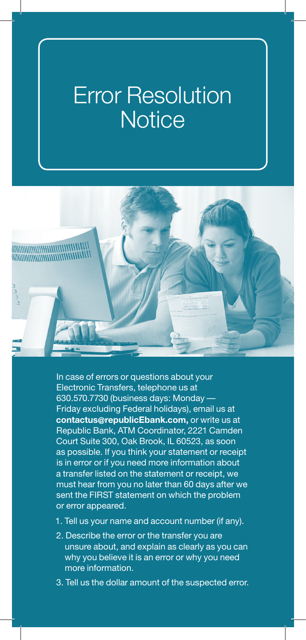## Error Resolution **Notice**



In case of errors or questions about your Electronic Transfers, telephone us at 630.570.7730 (business days: Monday — Friday excluding Federal holidays), email us at **contactus@republicEbank.com,** or write us at Republic Bank, ATM Coordinator, 2221 Camden Court Suite 300, Oak Brook, IL 60523, as soon as possible. If you think your statement or receipt is in error or if you need more information about a transfer listed on the statement or receipt, we must hear from you no later than 60 days after we sent the FIRST statement on which the problem or error appeared.

- 1. Tell us your name and account number (if any).
- 2. Describe the error or the transfer you are unsure about, and explain as clearly as you can why you believe it is an error or why you need more information.
- 3. Tell us the dollar amount of the suspected error.